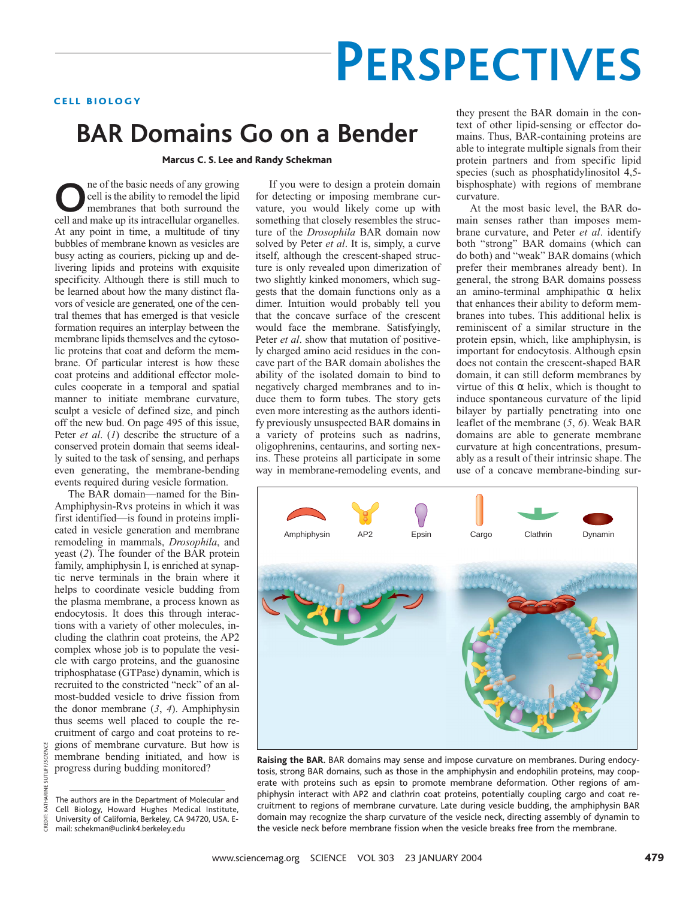# **PERSPECTIVES**

## CELL BIOLOGY

## **BAR Domains Go on a Bender**

Marcus C. S. Lee and Randy Schekman

**O**ne of the basic needs of any growing<br>
cell is the ability to remodel the lipid<br>
membranes that both surround the<br>
cell and make un its intracellular organelles cell is the ability to remodel the lipid membranes that both surround the cell and make up its intracellular organelles. At any point in time, a multitude of tiny bubbles of membrane known as vesicles are busy acting as couriers, picking up and delivering lipids and proteins with exquisite specificity. Although there is still much to be learned about how the many distinct flavors of vesicle are generated, one of the central themes that has emerged is that vesicle formation requires an interplay between the membrane lipids themselves and the cytosolic proteins that coat and deform the membrane. Of particular interest is how these coat proteins and additional effector molecules cooperate in a temporal and spatial manner to initiate membrane curvature, sculpt a vesicle of defined size, and pinch off the new bud. On page 495 of this issue, Peter *et al*. (*1*) describe the structure of a conserved protein domain that seems ideally suited to the task of sensing, and perhaps even generating, the membrane-bending events required during vesicle formation.

The BAR domain—named for the Bin-Amphiphysin-Rvs proteins in which it was first identified—is found in proteins implicated in vesicle generation and membrane remodeling in mammals, *Drosophila*, and yeast (*2*). The founder of the BAR protein family, amphiphysin I, is enriched at synaptic nerve terminals in the brain where it helps to coordinate vesicle budding from the plasma membrane, a process known as endocytosis. It does this through interactions with a variety of other molecules, including the clathrin coat proteins, the AP2 complex whose job is to populate the vesicle with cargo proteins, and the guanosine triphosphatase (GTPase) dynamin, which is recruited to the constricted "neck" of an almost-budded vesicle to drive fission from the donor membrane (*3*, *4*). Amphiphysin thus seems well placed to couple the recruitment of cargo and coat proteins to regions of membrane curvature. But how is membrane bending initiated, and how is progress during budding monitored?

If you were to design a protein domain for detecting or imposing membrane curvature, you would likely come up with something that closely resembles the structure of the *Drosophila* BAR domain now solved by Peter *et al*. It is, simply, a curve itself, although the crescent-shaped structure is only revealed upon dimerization of two slightly kinked monomers, which suggests that the domain functions only as a dimer. Intuition would probably tell you that the concave surface of the crescent would face the membrane. Satisfyingly, Peter *et al*. show that mutation of positively charged amino acid residues in the concave part of the BAR domain abolishes the ability of the isolated domain to bind to negatively charged membranes and to induce them to form tubes. The story gets even more interesting as the authors identify previously unsuspected BAR domains in a variety of proteins such as nadrins, oligophrenins, centaurins, and sorting nexins. These proteins all participate in some way in membrane-remodeling events, and

they present the BAR domain in the context of other lipid-sensing or effector domains. Thus, BAR-containing proteins are able to integrate multiple signals from their protein partners and from specific lipid species (such as phosphatidylinositol 4,5 bisphosphate) with regions of membrane curvature.

At the most basic level, the BAR domain senses rather than imposes membrane curvature, and Peter *et al*. identify both "strong" BAR domains (which can do both) and "weak" BAR domains (which prefer their membranes already bent). In general, the strong BAR domains possess an amino-terminal amphipathic α helix that enhances their ability to deform membranes into tubes. This additional helix is reminiscent of a similar structure in the protein epsin, which, like amphiphysin, is important for endocytosis. Although epsin does not contain the crescent-shaped BAR domain, it can still deform membranes by virtue of this α helix, which is thought to induce spontaneous curvature of the lipid bilayer by partially penetrating into one leaflet of the membrane (*5*, *6*). Weak BAR domains are able to generate membrane curvature at high concentrations, presumably as a result of their intrinsic shape. The use of a concave membrane-binding sur-



**Raising the BAR.** BAR domains may sense and impose curvature on membranes. During endocytosis, strong BAR domains, such as those in the amphiphysin and endophilin proteins, may cooperate with proteins such as epsin to promote membrane deformation. Other regions of amphiphysin interact with AP2 and clathrin coat proteins, potentially coupling cargo and coat recruitment to regions of membrane curvature. Late during vesicle budding, the amphiphysin BAR domain may recognize the sharp curvature of the vesicle neck, directing assembly of dynamin to the vesicle neck before membrane fission when the vesicle breaks free from the membrane.

The authors are in the Department of Molecular and Cell Biology, Howard Hughes Medical Institute, University of California, Berkeley, CA 94720, USA. Email: schekman@uclink4.berkeley.edu